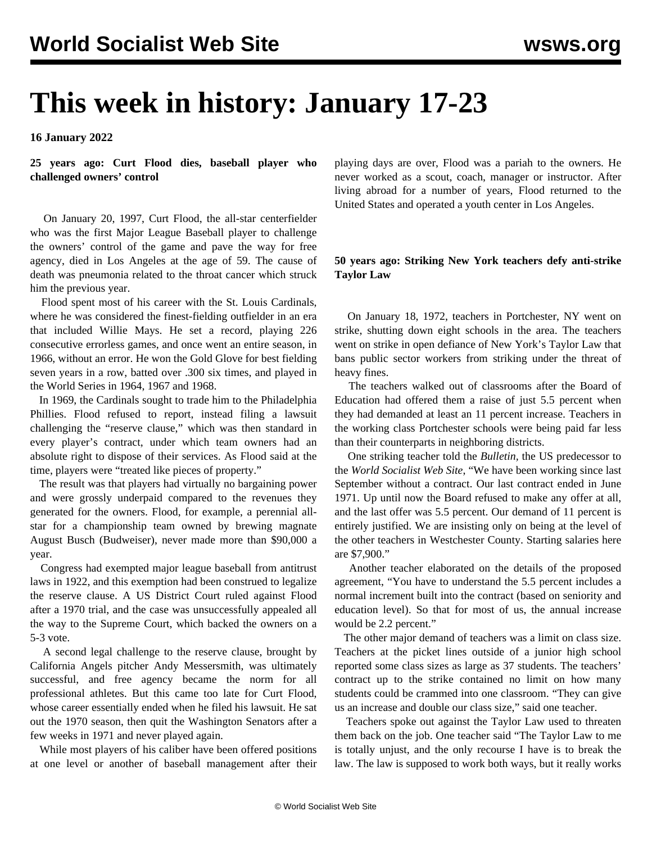# **This week in history: January 17-23**

**16 January 2022**

**25 years ago: Curt Flood dies, baseball player who challenged owners' control**

 On January 20, 1997, Curt Flood, the all-star centerfielder who was the first Major League Baseball player to challenge the owners' control of the game and pave the way for free agency, died in Los Angeles at the age of 59. The cause of death was pneumonia related to the throat cancer which struck him the previous year.

 Flood spent most of his career with the St. Louis Cardinals, where he was considered the finest-fielding outfielder in an era that included Willie Mays. He set a record, playing 226 consecutive errorless games, and once went an entire season, in 1966, without an error. He won the Gold Glove for best fielding seven years in a row, batted over .300 six times, and played in the World Series in 1964, 1967 and 1968.

 In 1969, the Cardinals sought to trade him to the Philadelphia Phillies. Flood refused to report, instead filing a lawsuit challenging the "reserve clause," which was then standard in every player's contract, under which team owners had an absolute right to dispose of their services. As Flood said at the time, players were "treated like pieces of property."

 The result was that players had virtually no bargaining power and were grossly underpaid compared to the revenues they generated for the owners. Flood, for example, a perennial allstar for a championship team owned by brewing magnate August Busch (Budweiser), never made more than \$90,000 a year.

 Congress had exempted major league baseball from antitrust laws in 1922, and this exemption had been construed to legalize the reserve clause. A US District Court ruled against Flood after a 1970 trial, and the case was unsuccessfully appealed all the way to the Supreme Court, which backed the owners on a 5-3 vote.

 A second legal challenge to the reserve clause, brought by California Angels pitcher Andy Messersmith, was ultimately successful, and free agency became the norm for all professional athletes. But this came too late for Curt Flood, whose career essentially ended when he filed his lawsuit. He sat out the 1970 season, then quit the Washington Senators after a few weeks in 1971 and never played again.

 While most players of his caliber have been offered positions at one level or another of baseball management after their playing days are over, Flood was a pariah to the owners. He never worked as a scout, coach, manager or instructor. After living abroad for a number of years, Flood returned to the United States and operated a youth center in Los Angeles.

#### **50 years ago: Striking New York teachers defy anti-strike Taylor Law**

 On January 18, 1972, teachers in Portchester, NY went on strike, shutting down eight schools in the area. The teachers went on strike in open defiance of New York's Taylor Law that bans public sector workers from striking under the threat of heavy fines.

 The teachers walked out of classrooms after the Board of Education had offered them a raise of just 5.5 percent when they had demanded at least an 11 percent increase. Teachers in the working class Portchester schools were being paid far less than their counterparts in neighboring districts.

 One striking teacher told the *Bulletin,* the US predecessor to the *World Socialist Web Site*, "We have been working since last September without a contract. Our last contract ended in June 1971. Up until now the Board refused to make any offer at all, and the last offer was 5.5 percent. Our demand of 11 percent is entirely justified. We are insisting only on being at the level of the other teachers in Westchester County. Starting salaries here are \$7,900."

 Another teacher elaborated on the details of the proposed agreement, "You have to understand the 5.5 percent includes a normal increment built into the contract (based on seniority and education level). So that for most of us, the annual increase would be 2.2 percent."

 The other major demand of teachers was a limit on class size. Teachers at the picket lines outside of a junior high school reported some class sizes as large as 37 students. The teachers' contract up to the strike contained no limit on how many students could be crammed into one classroom. "They can give us an increase and double our class size," said one teacher.

 Teachers spoke out against the Taylor Law used to threaten them back on the job. One teacher said "The Taylor Law to me is totally unjust, and the only recourse I have is to break the law. The law is supposed to work both ways, but it really works